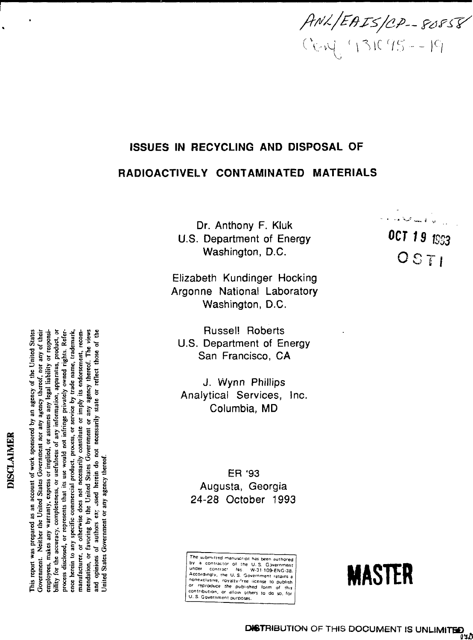**ANL/EAIS/CP-80858** 

**o CO t o**

ن<br>ایوانا ها بیستا محتیا است به ای

**t**S33

# **SUES IN RECYCLING AND DISPOSAL OF**

# **o IOACTIVELY CONTAMINATED MATE**

 $U.S.$ nth<br>art<br>:hir ony F. Klu<br>ment of Er<br><sub>l</sub>aton, D.C. :hony F. Kluk<br>rtment of Ene lin g ton, D

Elizabeth Kundinger Hocking<br>Argonne National Laboratory shington, D.C. **zabeth Kundinger Hocking** 

San Francisco, C<sub>/</sub> U.S. Department of Energ **Russel! Roberts** 

tical Services, Inc.<br>Columbia, MD Columbia, MD **X3 CO**

**24-28 October 1993 ugusta, Georg** ER '93

sub<br>a c<br>ar<br>prol<br>repr<br>repr<br>fibu **S 5 5 E" 5 S ?** , rovalty<br>e the p<br>. or allov<br>ment purj **30 manus<br>1930 - 30 mars 1930**<br>1930 - 1930 mars 1930<br>1930 - 1930 mars 1930 anuel contractive interesting experiment retains a nonexclusive, royalty-free license to publish se<br>D V G<br>D - Y v Fi ipt<br>So <sup>ge</sup><br>Serisi<br>Ses **• S s o 1 f**



DISCLAIMER **DISCLAIMER** This report was prepared as an account of work sponsored by an agency of the United States bility for the accuracy, completeness, or usefulness of any information, apparatus, product, or **bility for the accuracy, completeness, or usefulness of any information, apparatus, product, or** ence herein to any specific commercial product, process, or service by trade name, trademark, **This report was prepared as an account of work sponsored by an agency of the United States** Government. Neither the United States Government nor any agency thereof, nor any of their **Government. Neither the United States Government nor any agency thereof, nor any of their** employees, makes any warranty, express or implied, or assumes any legal liability or responsi**employees, makes any warranty, express cr implied, or assumes any legal liability or responsiprocess disclosed, or represents that its use would not infringe privately owned rights. Reference herein to any specific commercial product, process, or service by trade name, trademark, manufacturer, or otherwise does not necessarily constitute or imply its endorsement, recom**or any agency thereof. The views **mendation, or favoring by the United States Government or any agency thereof. The views and opinions of authors ex; cssed herein do not necessarily state or reflect those of the** manufacturer, or otherwise does not necessarily constitute or imply its endorsement, recomand opinions of authors ex; assed herein do not necessarily state or reflect those of the process disclosed, or represents that its use would not infringe privately owned rights. mendation, or favoring by the United States Government United States Government or any agency thereof **United States Government or any agency thereof.**

Refer-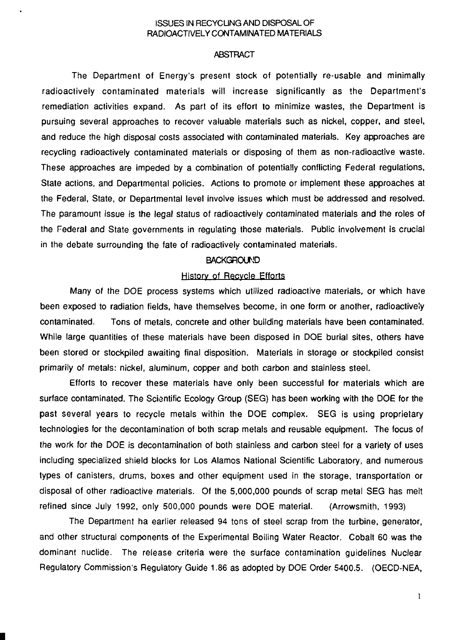# ISSUES IN RECYCLING AND DISPOSAL OF RADIOACTIVELY CONTAMINATED MATERIALS

## **ABSTRACT**

The Department of Energy's present stock of potentially re-usable and minimally radioactively contaminated materials will increase significantly as the Department's remediation activities expand. As part of its effort to minimize wastes, the Department is pursuing several approaches to recover valuable materials such as nickel, copper, and steel, and reduce the high disposal costs associated with contaminated materials. Key approaches are recycling radioactively contaminated materials or disposing of them as non-radioactive waste. These approaches are impeded by a combination of potentially conflicting Federal regulations, State actions, and Departmental policies. Actions to promote or implement these approaches at the Federal, State, or Departmental level involve issues which must be addressed and resolved. The paramount issue is the legal status of radioactively contaminated materials and the roles of the Federal and State governments in regulating those materials. Public involvement is crucial in the debate surrounding the fate of radioactively contaminated materials.

#### **BACKGROUND**

#### History of Recycle Efforts

Many of the DOE process systems which utilized radioactive materials, or which have been exposed to radiation fields, have themselves become, in one form or another, radioactively contaminated. Tons of metals, concrete and other building materials have been contaminated. While large quantities of these materials have been disposed in DOE burial sites, others have been stored or stockpiled awaiting final disposition. Materials in storage or stockpiled consist primarily of metals: nickel, aluminum, copper and both carbon and stainless steel.

Efforts to recover these materials have only been successful for materials which are surface contaminated. The Scientific Ecology Group (SEG) has been working with the DOE for the past several years to recycle metals within the DOE complex. SEG is using proprietary technologies for the decontamination of both scrap metals and reusable equipment. The focus of the work for the DOE is decontamination of both stainless and carbon steel for a variety of uses including specialized shield blocks for Los Alamos National Scientific Laboratory, and numerous types of canisters, drums, boxes and other equipment used in the storage, transportation or disposal of other radioactive materials. Of the 5,000,000 pounds of scrap metal SEG has melt refined since July 1992, only 500,000 pounds were DOE material. (Arrowsmith, 1993)

The Department ha earlier released 94 tons of steel scrap from the turbine, generator, and other structural components of the Experimental Boiling Water Reactor. Cobalt 60 was the dominant nuclide. The release criteria were the surface contamination guidelines Nuclear Regulatory Commission's Regulatory Guide 1.86 as adopted by DOE Order 5400.5. (OECD-NEA,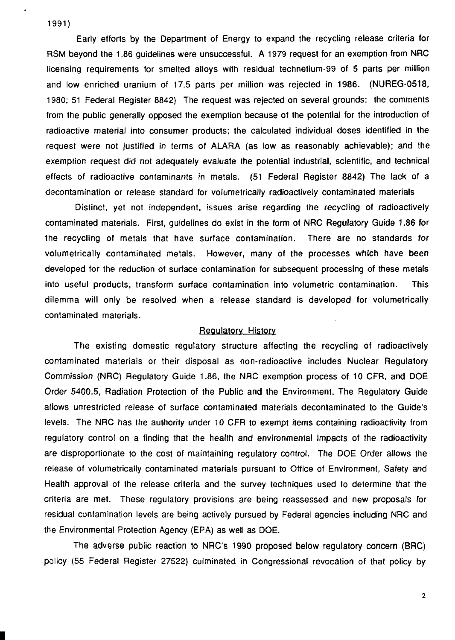**1991)**

Early efforts by the Department of Energy to expand the recycling release criteria for RSM beyond the 1.86 guidelines were unsuccessful. A 1979 request for an exemption from NRC licensing requirements for smelted alloys with residual technetium-99 of 5 parts per million and low enriched uranium of 17.5 parts per million was rejected in 1986. (NUREG-0518, 1980; 51 Federal Register 8842) The request was rejected on several grounds: the comments from the public generally opposed the exemption because of the potential for the introduction of radioactive material into consumer products; the calculated individual doses identified in the request were not justified in terms of ALARA (as low as reasonably achievable); and the exemption request did not adequately evaluate the potential industrial, scientific, and technical effects of radioactive contaminants in metals. (51 Federal Register 8842) The lack of a decontamination or release standard for volumetrically radioactively contaminated materials

Distinct, yet not independent, issues arise regarding the recycling of radioactively contaminated materials. First, guidelines do exist in the form of NRC Regulatory Guide 1.86 for the recycling of metals that have surface contamination. There are no standards for volumetrically contaminated metals. However, many of the processes which have been developed for the reduction of surface contamination for subsequent processing of these metals into useful products, transform surface contamination into volumetric contamination. This dilemma will only be resolved when a release standard is developed for volumetrically contaminated materials.

#### Regulatory History

The existing domestic regulatory structure affecting the recycling of radioactively contaminated materials or their disposal as non-radioactive includes Nuclear Regulatory Commission (NRC) Regulatory Guide 1.86, the NRC exemption process of 10 CFR, and DOE Order 5400.5, Radiation Protection of the Public and the Environment. The Regulatory Guide allows unrestricted release of surface contaminated materials decontaminated to the Guide's levels. The NRC has the authority under 10 CFR to exempt items containing radioactivity from regulatory control on a finding that the health and environmental impacts of the radioactivity are disproportionate to the cost of maintaining regulatory control. The DOE Order allows the release of volumetrically contaminated materials pursuant to Office of Environment, Safety and Health approval of the release criteria and the survey techniques used to determine that the criteria are met. These regulatory provisions are being reassessed and new proposals for residual contamination levels are being actively pursued by Federal agencies including NRC and the Environmental Protection Agency (EPA) as well as DOE.

The adverse public reaction to NRC's 1990 proposed below regulatory concern (BRC) policy (55 Federal Register 27522) culminated in Congressional revocation of that policy by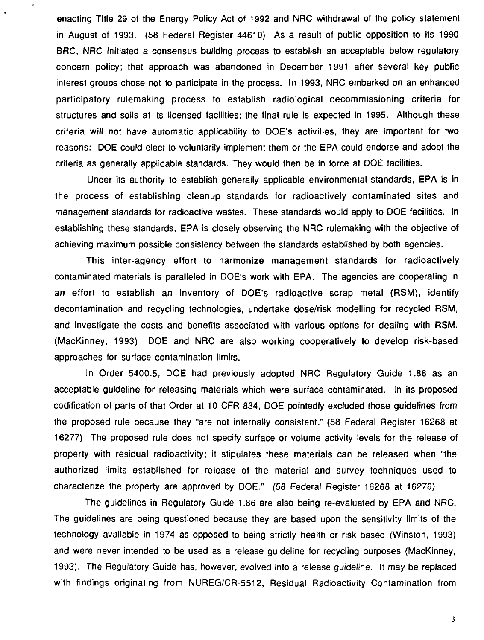enacting Title 29 of the Energy Policy Act of 1992 and NRC withdrawal of the policy statement in August of 1993. (58 Federal Register 44610) As a result of public opposition to its 1990 BRC, NRC initiated a consensus building process to establish an acceptable below regulatory concern policy; that approach was abandoned in December 1991 after several key public interest groups chose not to participate in the process. In 1993, NRC embarked on an enhanced participatory rulemaking process to establish radiological decommissioning criteria for structures and soils at its licensed facilities; the final rule is expected in 1995. Although these criteria will not have automatic applicability to DOE's activities, they are important for two reasons: DOE could elect to voluntarily implement them or the EPA could endorse and adopt the criteria as generally applicable standards. They would then be in force at DOE facilities.

Under its authority to establish generally applicable environmental standards, EPA is in the process of establishing cleanup standards for radioactively contaminated sites and management standards for radioactive wastes. These standards would apply to DOE facilities. In establishing these standards, EPA is closely observing the NRC rulemaking with the objective of achieving maximum possible consistency between the standards established by both agencies.

This inter-agency effort to harmonize management standards for radioactively contaminated materials is paralleled in DOE's work with EPA. The agencies are cooperating in an effort to establish an inventory of DOE's radioactive scrap metal (RSM), identify decontamination and recycling technologies, undertake dose/risk modelling for recycled RSM, and investigate the costs and benefits associated with various options for dealing with RSM. (MacKinney, 1993) DOE and NRC are also working cooperatively to develop risk-based approaches for surface contamination limits.

In Order 5400.5, DOE had previously adopted NRC Regulatory Guide 1.86 as an acceptable guideline for releasing materials which were surface contaminated. In its proposed codification of parts of that Order at 10 CFR 834, DOE pointedly excluded those guidelines from the proposed rule because they "are not internally consistent." (58 Federal Register 16268 at 16277) The proposed rule does not specify surface or volume activity levels for the release of property with residual radioactivity; it stipulates these materials can be released when "the authorized limits established for release of the material and survey techniques used to characterize the property are approved by DOE." (58 Federal Register 16268 at 16276)

The guidelines in Regulatory Guide 1.86 are also being re-evaluated by EPA and NRC. The guidelines are being questioned because they are based upon the sensitivity limits of the technology available in 1974 as opposed to being strictly health or risk based (Winston, 1993) and were never intended to be used as a release guideline for recycling purposes (MacKinney, 1993). The Regulatory Guide has, however, evolved into a release guideline. It may be replaced with findings originating from NUREG/CR-5512, Residual Radioactivity Contamination from

 $\overline{\mathbf{3}}$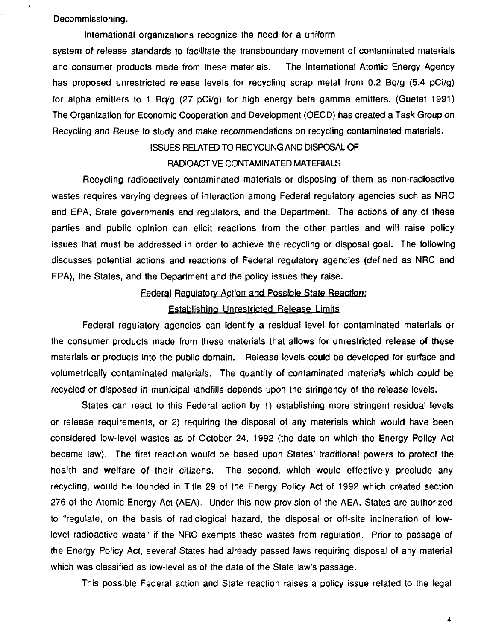Decommissioning.

#### International organizations recognize the need for a uniform

system of release standards to facilitate the transboundary movement of contaminated materials and consumer products made from these materials. The International Atomic Energy Agency has proposed unrestricted release levels for recycling scrap metal from 0.2 Bq/g (5.4 pCi/g) for alpha emitters to 1 Bq/g (27 pCi/g) for high energy beta gamma emitters. (Guetat 1991) The Organization for Economic Cooperation and Development (OECD) has created a Task Group on Recycling and Reuse to study and make recommendations on recycling contaminated materials.

## ISSUES RELATED TO RECYCUNG AND DISPOSAL OF

#### RADIOACTIVE CONTAMINATED MATERIALS

Recycling radioactively contaminated materials or disposing of them as non-radioactive wastes requires varying degrees of interaction among Federal regulatory agencies such as NRC and EPA, State governments and regulators, and the Department. The actions of any of these parties and public opinion can elicit reactions from the other parties and will raise policy issues that must be addressed in order to achieve the recycling or disposal goal. The following discusses potential actions and reactions of Federal regulatory agencies (defined as NRC and EPA), the States, and the Department and the policy issues they raise.

#### Federal Regulatory Action and Possible State Reaction:

#### Establishing Unrestricted Release Limits

Federal regulatory agencies can identify a residual level for contaminated materials or the consumer products made from these materials that allows for unrestricted release of these materials or products into the public domain. Release levels could be developed for surface and volumetrically contaminated materials. The quantity of contaminated materials which could be recycled or disposed in municipal landfills depends upon the stringency of the release levels.

States can react to this Federal action by 1) establishing more stringent residual levels or release requirements, or 2) requiring the disposal of any materials which would have been considered low-level wastes as of October 24, 1992 (the date on which the Energy Policy Act became law). The first reaction would be based upon States' traditional powers to protect the health and welfare of their citizens. The second, which would effectively preclude any recycling, would be founded in Title 29 of the Energy Policy Act of 1992 which created section 276 of the Atomic Energy Act (AEA). Under this new provision of the AEA, States are authorized to "regulate, on the basis of radiological hazard, the disposal or off-site incineration of lowlevel radioactive waste" if the NRC exempts these wastes from regulation. Prior to passage of the Energy Policy Act, several States had already passed laws requiring disposal of any material which was classified as low-level as of the date of the State law's passage.

This possible Federal action and State reaction raises a policy issue related to the legal

 $\overline{\mathbf{4}}$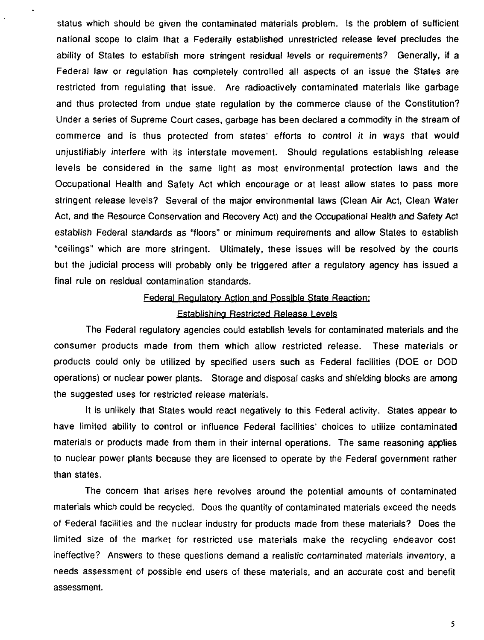status which should be given the contaminated materials problem. Is the problem of sufficient national scope to claim that a Federally established unrestricted release level precludes the ability of States to establish more stringent residual levels or requirements? Generally, if a Federal law or regulation has completely controlled all aspects of an issue the States are restricted from regulating that issue. Are radioactively contaminated materials like garbage and thus protected from undue state regulation by the commerce clause of the Constitution? Under a series of Supreme Court cases, garbage has been declared a commodity in the stream of commerce and is thus protected from states' efforts to control it in ways that would unjustifiably interfere with its interstate movement. Should regulations establishing release levels be considered in the same light as most environmental protection laws and the Occupational Health and Safety Act which encourage or at least allow states to pass more stringent release levels? Several of the major environmental laws (Clean Air Act, Clean Water Act, and the Resource Conservation and Recovery Act) and the Occupational Health and Safety Act establish Federal standards as "floors" or minimum requirements and allow States to establish "ceilings" which are more stringent. Ultimately, these issues will be resolved by the courts but the judicial process will probably only be triggered after a regulatory agency has issued a final rule on residual contamination standards.

#### Federal Regulatory Action and Possible State Reaction:

#### Establishing Restricted Release Levels

The Federal regulatory agencies could establish levels for contaminated materials and the consumer products made from them which allow restricted release. These materials or products could only be utilized by specified users such as Federal facilities (DOE or DOD operations) or nuclear power plants. Storage and disposal casks and shielding blocks are among the suggested uses for restricted release materials.

It is unlikely that States would react negatively to this Federal activity. States appear to have limited ability to control or influence Federal facilities' choices to utilize contaminated materials or products made from them in their internal operations. The same reasoning applies to nuclear power plants because they are licensed to operate by the Federal government rather than states.

The concern that arises here revolves around the potential amounts of contaminated materials which could be recycled. Dogs the quantity of contaminated materials exceed the needs of Federal facilities and the nuclear industry for products made from these materials? Does the limited size of the market for restricted use materials make the recycling endeavor cost ineffective? Answers to these questions demand a realistic contaminated materials inventory, a needs assessment of possible end users of these materials, and an accurate cost and benefit assessment.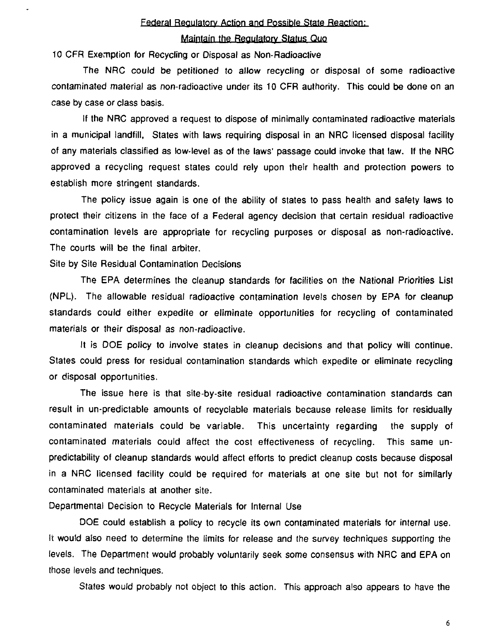#### Federal Regulatory Action and Possible State Reaction:

#### Maintain the Regulatory Status Quo

10 CFR Exemption for Recycling or Disposal as Non-Radioactive

The NRC could be petitioned to allow recycling or disposal of some radioactive contaminated material as non-radioactive under its 10 CFR authority. This could be done on an case by case or class basis.

If the NRC approved a request to dispose of minimally contaminated radioactive materials in a municipal landfill, States with laws requiring disposal in an NRC licensed disposal facility of any materials classified as low-level as of the laws' passage could invoke that law. If the NRC approved a recycling request states could rely upon their health and protection powers to establish more stringent standards.

The policy issue again is one of the ability of states to pass health and safety laws to protect their citizens in the face of a Federal agency decision that certain residual radioactive contamination levels are appropriate for recycling purposes or disposal as non-radioactive. The courts will be the final arbiter.

Site by Site Residual Contamination Decisions

The EPA determines the cleanup standards for facilities on the National Priorities List (NPL). The allowable residual radioactive contamination levels chosen by EPA for cleanup standards could either expedite or eliminate opportunities for recycling of contaminated materials or their disposal as non-radioactive.

It is DOE policy to involve states in cleanup decisions and that policy will continue. States could press for residual contamination standards which expedite or eliminate recycling or disposal opportunities.

The issue here is that site-by-site residual radioactive contamination standards can result in un-predictable amounts of recyclable materials because release limits for residually contaminated materials could be variable. This uncertainty regarding the supply of contaminated materials could affect the cost effectiveness of recycling. This same unpredictability of cleanup standards would affect efforts to predict cleanup costs because disposal in a NRC licensed facility could be required for materials at one site but not for similarly contaminated materials at another site.

Departmental Decision to Recycle Materials for Internal Use

DOE could establish a policy to recycle its own contaminated materials for internal use. It would also need to determine the limits for release and the survey techniques supporting the levels. The Department would probably voluntarily seek some consensus with NRC and EPA on those levels and techniques.

States would probably not object to this action. This approach also appears to have the

6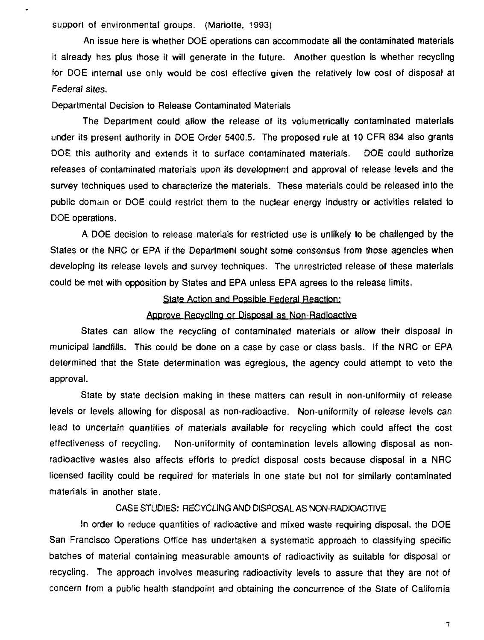support of environmental groups. (Mariotte, 1993)

An issue here is whether DOE operations can accommodate all the contaminated materials it already has plus those it will generate in the future. Another question is whether recycling for DOE internal use only would be cost effective given the relatively low cost of disposal at Federal sites.

Departmental Decision to Release Contaminated Materials

The Department could allow the release of its volumetrically contaminated materials under its present authority in DOE Order 5400.5. The proposed rule at 10 CFR 834 also grants DOE this authority and extends it to surface contaminated materials. DOE could authorize releases of contaminated materials upon its development and approval of release levels and the survey techniques used to characterize the materials. These materials could be released into the public domain or DOE could restrict them to the nuclear energy industry or activities related to DOE operations.

A DOE decision to release materials for restricted use is unlikely to be challenged by the States or the NRC or EPA if the Department sought some consensus from those agencies when developing its release levels and survey techniques. The unrestricted release of these materials could be met with opposition by States and EPA unless EPA agrees to the release limits.

# State Action and Possible Federal Reaction:

#### Approve Recycling or Disposal as Non-Radioactive

States can allow the recycling of contaminated materials or allow their disposal in municipal landfills. This could be done on a case by case or class basis. If the NRC or EPA determined that the State determination was egregious, the agency could attempt to veto the approval.

State by state decision making in these matters can result in non-uniformity of release levels or levels allowing for disposal as non-radioactive. Non-uniformity of release levels can lead to uncertain quantities of materials available for recycling which could affect the cost effectiveness of recycling. Non-uniformity of contamination levels allowing disposal as nonradioactive wastes also affects efforts to predict disposal costs because disposal in a NRC licensed facility could be required for materials in one state but not for similarly contaminated materials in another state.

# CASE STUDIES: RECYCLING AND DISPOSAL AS NON-RADIOACTIVE

In order to reduce quantities of radioactive and mixed waste requiring disposal, the DOE San Francisco Operations Office has undertaken a systematic approach to classifying specific batches of material containing measurable amounts of radioactivity as suitable for disposal or recycling. The approach involves measuring radioactivity levels to assure that they are not of concern from a public health standpoint and obtaining the concurrence of the State of California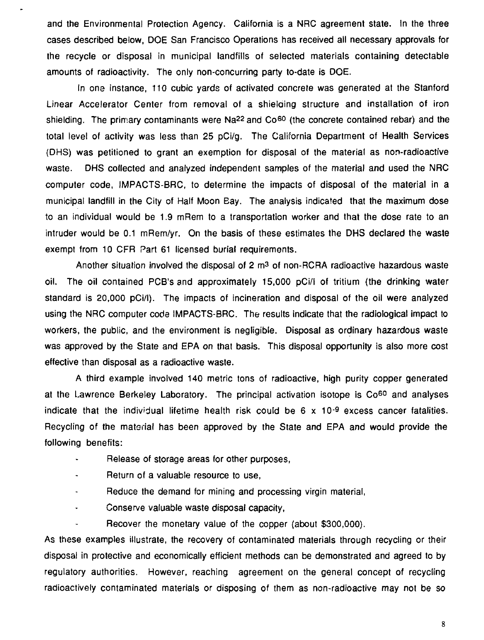and the Environmental Protection Agency. California is a NRC agreement state. In the three cases described below, DOE San Francisco Operations has received all necessary approvals for the recycle or disposal in municipal landfills of selected materials containing detectable amounts of radioactivity. The only non-concurring party to-date is DOE.

In one instance, 110 cubic yards of activated concrete was generated at the Stanford Linear Accelerator Center from removal of a shielaing structure and installation of iron shielding. The primary contaminants were Na<sup>22</sup> and Co<sup>60</sup> (the concrete contained rebar) and the total level of activity was less than 25 pCi/g. The California Department of Health Services (DHS) was petitioned to grant an exemption for disposal of the material as non-radioactive waste. DHS collected and analyzed independent samples of the material and used the NRC computer code, IMPACTS-BRC, to determine the impacts of disposal of the material in a municipal landfill in the City of Half Moon Bay. The analysis indicated that the maximum dose to an individual would be 1.9 mRem to a transportation worker and that the dose rate to an intruder would be 0.1 mRem/yr. On the basis of these estimates the DHS declared the waste exempt from 10 CFR Part 61 licensed burial requirements.

Another situation involved the disposal of 2 m<sup>3</sup> of non-RCRA radioactive hazardous waste oil. The oil contained PCB's and approximately 15,000 pCi/l of tritium (the drinking water standard is 20,000 pCi/l). The impacts of incineration and disposal of the oil were analyzed using the NRC computer code IMPACTS-BRC. The results indicate that the radiological impact to workers, the public, and the environment is negligible. Disposal as ordinary hazardous waste was approved by the State and EPA on that basis. This disposal opportunity is also more cost effective than disposal as a radioactive waste.

A third example involved 140 metric tons of radioactive, high purity copper generated at the Lawrence Berkeley Laboratory. The principal activation isotope is Co<sup>60</sup> and analyses indicate that the individual lifetime health risk could be 6 x 10<sup>-9</sup> excess cancer fatalities. Recycling of the material has been approved by the State and EPA and would provide the following benefits:

- Release of storage areas for other purposes,
- Return of a valuable resource to use,  $\mathbf{r}$
- $\mathbf{u}$ Reduce the demand for mining and processing virgin material,
- Conserve valuable waste disposal capacity,  $\tilde{\phantom{a}}$
- Recover the monetary value of the copper (about \$300,000).

As these examples illustrate, the recovery of contaminated materials through recycling or their disposal in protective and economically efficient methods can be demonstrated and agreed to by regulatory authorities. However, reaching agreement on the general concept of recycling radioactively contaminated materials or disposing of them as non-radioactive may not be so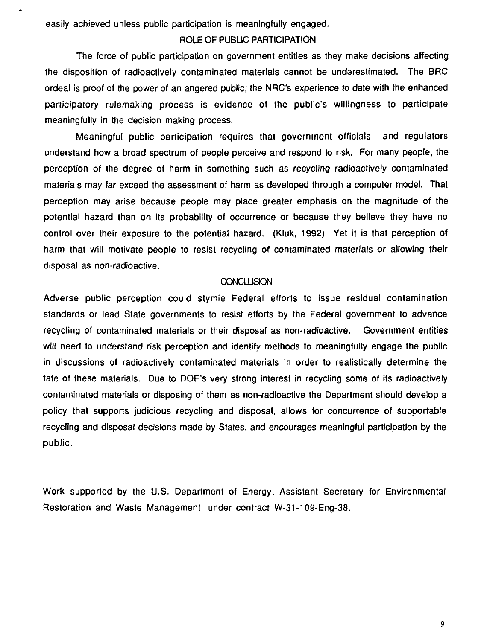easily achieved unless public participation is meaningfully engaged.

#### ROLE OF PUBLIC PARTICIPATION

The force of public participation on government entities as they make decisions affecting the disposition of radioactively contaminated materials cannot be underestimated. The BRC ordeal is proof of the power of an angered public; the NRC's experience to date with the enhanced participatory rulemaking process is evidence of the public's willingness to participate meaningfully in the decision making process.

Meaningful public participation requires that government officials and regulators understand how a broad spectrum of people perceive and respond to risk. For many people, the perception of the degree of harm in something such as recycling radioactively contaminated materials may far exceed the assessment of harm as developed through a computer model. That perception may arise because people may place greater emphasis on the magnitude of the potential hazard than on its probability of occurrence or because they believe they have no control over their exposure to the potential hazard. (Kluk, 1992) Yet it is that perception of harm that will motivate people to resist recycling of contaminated materials or allowing their disposal as non-radioactive.

#### **CONCLUSION**

Adverse public perception could stymie Federal efforts to issue residual contamination standards or lead State governments to resist efforts by the Federal government to advance recycling of contaminated materials or their disposal as non-radioactive. Government entities will need to understand risk perception and identify methods to meaningfully engage the public in discussions of radioactively contaminated materials in order to realistically determine the fate of these materials. Due to DOE'S very strong interest in recycling some of its radioactively contaminated materials or disposing of them as non-radioactive the Department should develop a policy that supports judicious recycling and disposal, allows for concurrence of supportable recycling and disposal decisions made by States, and encourages meaningful participation by the public.

Work supported by the U.S. Department of Energy, Assistant Secretary for Environmental Restoration and Waste Management, under contract W-31-109-Eng-38.